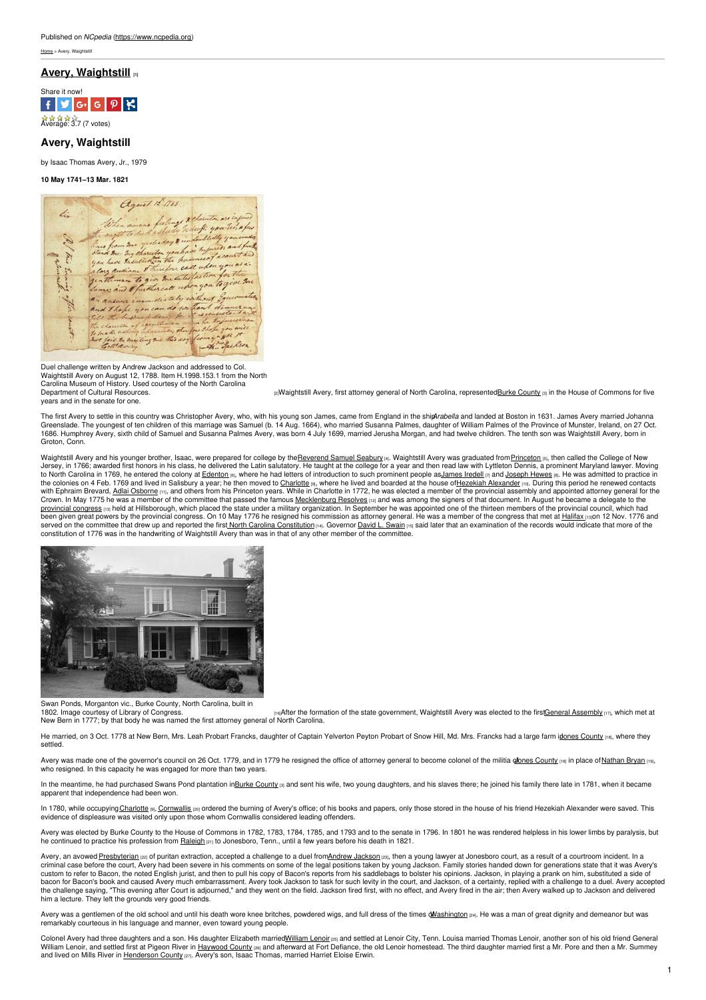

**Avery, Waightstill** by Isaac Thomas Avery, Jr., 1979

**10 May 1741–13 Mar. 1821**



Duel challenge written by Andrew Jackson and addressed to Col. Waightstill Avery on August 12, 1788. Item H.1998.153.1 from the North<br>Carolina Museum of History. Used courtesy of the North Carolina years and in the senate for one.

[Department](http://collections.ncdcr.gov/RediscoveryProficioPublicSearch/ShowItem.aspx?75181+) of Cultural Resources. The Summons for five and the expansion of the summons of the House of Commons for five in the House of Commons for five

The first Avery to settle in this country was Christopher Avery, who, with his young son James, came from England in the shipArabella and landed at Boston in 1631. James Avery married Johanna<br>Greenslade. The youngest of te 1686. Humphrey Avery, sixth child of Samuel and Susanna Palmes Avery, was born 4 July 1699, married Jerusha Morgan, and had twelve children. The tenth son was Waightstill Avery, born in Groton, Conn.

Waightstill Avery and his younger brother, Isaac, were prepared for college by the<u>Reverend Samuel Seabury</u> թա. Waightstill Avery was graduated from <u>[Princeton](http://www.princeton.edu/main/) թե,</u> then called the College of New<br>Jersey, in 1766, awarded with Ephraim Brevard, <u>Adlai [Osborne](https://www.ncpedia.org/biography/osborne-adlai) ma</u>, and others from his Princeton years. While in Charlotte in 1772, he was elected a member of the provincial assembly and appointed attorney general for the<br>Crown. In May 1775 he was p<u>rovincial congress na</u> held at Hillsborough, which placed the state under a military organization. In September he was appointed one of the thirteen members of the [provincial](https://www.ncpedia.org/provincial-congresses) council, which had<br>been given great powers by served on the committee that drew up and reported the firs<u>t North Carolina [Constitution](https://www.ncpedia.org/government/nc-constitution-history) mane Grovernor David L. [Swain](https://www.ncpedia.org/biography/governors/swain) mas add later that an examination of the records would indicate that more of the constitution of 1176 w</u>



Swan Ponds, Morganton vic., Burke County, North Carolina, built in

[16]After the formation of the state government, Waightstill Avery was elected to the firstGeneral [Assembly](https://www.ncpedia.org/general-assembly) [17], which met at 1802. Image courtesy of Library of Congress.<br>New Bern in 1777; by that body he was named the first attorney general of North Carolina.

He married, on 3 Oct. 1778 at New Bern, Mrs. Leah Probart Francks, daughter of Captain Yelverton Peyton Probart of Snow Hill, Md. Mrs. Francks had a large farm idones [County](https://www.ncpedia.org/geography/jones) [18], where they settled.

Avery was made one of the governor's council on 26 Oct. 1779, and in 1779 he resigned the office of attorney general to become colonel of the militia of ones [County](https://www.ncpedia.org/geography/jones) [18] in place of [Nathan](https://www.ncpedia.org/biography/bryan-nathan) Bryan [19], who resigned. In this capacity he was engaged for more than two years.

In the meantime, he had purchased Swans Pond plantation inBurke [County](https://www.ncpedia.org/geography/burke) [3] and sent his wife, two young daughters, and his slaves there; he joined his family there late in 1781, when it became apparent that independence had been won.

In 1780, while occupying <u>Charlotte , [Cornwallis](http://www.britannica.com/EBchecked/topic/138109/Charles-Cornwallis-1st-Marquess-and-2nd-Earl-Cornwallis) </u> ordered the burning of Avery's office; of his books and papers, only those stored in the house of his friend Hezekiah Alexander were saved. This<br>evidence of displeasure

Avery was elected by Burke County to the House of Commons in 1782, 1783, 1784, 1785, and 1793 and to the senate in 1796. In 1801 he was rendered helpless in his lower limbs by paralysis, but<br>he continued to practice his pr

Avery, an avowed <u>[Presbyterian](https://www.ncpedia.org/presbyterian-church-0) per</u> of puritan extraction, accepted a challenge to a duel from<u>Andrew [Jackson](https://www.ncpedia.org/jackson-andrew) per,</u> then a young lawyer at Jonesboro court, as a result of a courtroom incident. In a<br>criminal case before the custom to refer to Bacon, the noted English jurist, and then to pull his copy of Bacon's reports from his saddlebags to bolster his opinions. Jackson, in playing a prank on him, substituted a side of bacon for Bacon's book and caused Avery much embarrassment. Avery took Jackson to task for such levity in the court, and Jackson, of a certainty, replied with a challenge to a duel. Avery accepted the challenge saying, "This evening after Court is adjourned," and they went on the field. Jackson fired first, with no effect, and Avery fired in the air; then Avery walked up to Jackson and delivered him a lecture. They left the grounds very good friends.

Avery was a gentlemen of the old school and until his death wore knee britches, powdered wigs, and full dress of the times *dM[ashington](https://www.whitehouse.gov/about/presidents/georgewashington) [24]*. He was a man of great dignity and demeanor but was remarkably courteous in his language and manner, even toward young people.

Colonel Avery had three daughters and a son. His daughter Elizabeth married<u>William Lenoires pand settled at Lenoir</u> City, Tenn. Louisa married Thomas Lenoir, another son of his old friend General<br>William Lenoir, and sett